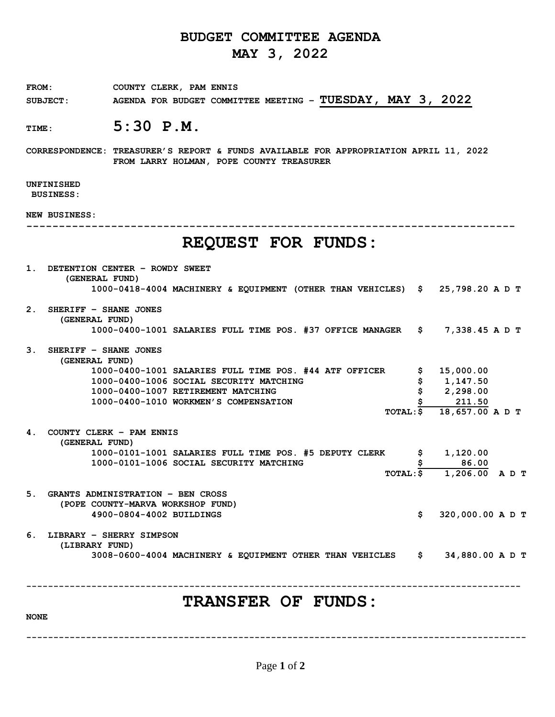# **BUDGET COMMITTEE AGENDA MAY 3, 2022**

FROM: COUNTY CLERK, PAM ENNIS **SUBJECT: AGENDA FOR BUDGET COMMITTEE MEETING – TUESDAY, MAY 3, 2022**

## **TIME: 5:30 P.M.**

**CORRESPONDENCE: TREASURER'S REPORT & FUNDS AVAILABLE FOR APPROPRIATION APRIL 11, 2022 FROM LARRY HOLMAN, POPE COUNTY TREASURER**

### **UNFINISHED**

**BUSINESS:**

**NEW BUSINESS:**

**---------------------------------------------------------------------------**

# **REQUEST FOR FUNDS:**

| $\mathbf 1$ . | DETENTION CENTER - ROWDY SWEET                                                                  |    |                  |  |
|---------------|-------------------------------------------------------------------------------------------------|----|------------------|--|
|               | (GENERAL FUND)<br>1000-0418-4004 MACHINERY & EQUIPMENT (OTHER THAN VEHICLES) \$ 25,798.20 A D T |    |                  |  |
|               |                                                                                                 |    |                  |  |
| 2.            | SHERIFF - SHANE JONES                                                                           |    |                  |  |
|               | (GENERAL FUND)                                                                                  |    |                  |  |
|               | 1000-0400-1001 SALARIES FULL TIME POS. #37 OFFICE MANAGER                                       | \$ | 7,338.45 A D T   |  |
| 3.            | SHERIFF - SHANE JONES                                                                           |    |                  |  |
|               | (GENERAL FUND)                                                                                  |    |                  |  |
|               | 1000-0400-1001 SALARIES FULL TIME POS. #44 ATF OFFICER                                          |    | 15,000.00        |  |
|               | 1000-0400-1006 SOCIAL SECURITY MATCHING                                                         | \$ | 1,147.50         |  |
|               | 1000-0400-1007 RETIREMENT MATCHING                                                              |    | 2,298.00         |  |
|               | 1000-0400-1010 WORKMEN'S COMPENSATION                                                           |    | 211.50           |  |
|               | TOTAL: \$                                                                                       |    | 18,657.00 A D T  |  |
| 4.            | COUNTY CLERK - PAM ENNIS<br>(GENERAL FUND)                                                      |    |                  |  |
|               | 1000-0101-1001 SALARIES FULL TIME POS. #5 DEPUTY CLERK                                          | \$ | 1,120.00         |  |
|               | 1000-0101-1006 SOCIAL SECURITY MATCHING                                                         |    | 86.00            |  |
|               | TOTAL: \$                                                                                       |    | 1,206.00 ADT     |  |
| 5.            | <b>GRANTS ADMINISTRATION - BEN CROSS</b>                                                        |    |                  |  |
|               | (POPE COUNTY-MARVA WORKSHOP FUND)                                                               |    |                  |  |
|               | 4900-0804-4002 BUILDINGS                                                                        | \$ | 320,000.00 A D T |  |
| 6.            | LIBRARY - SHERRY SIMPSON<br>(LIBRARY FUND)                                                      |    |                  |  |
|               | 3008-0600-4004 MACHINERY & EQUIPMENT OTHER THAN VEHICLES                                        | S. | 34,880.00 A D T  |  |
|               |                                                                                                 |    |                  |  |
|               | <b>TRANSFER OF FUNDS:</b>                                                                       |    |                  |  |
|               |                                                                                                 |    |                  |  |

**NONE**

**--------------------------------------------------------------------------------------------**